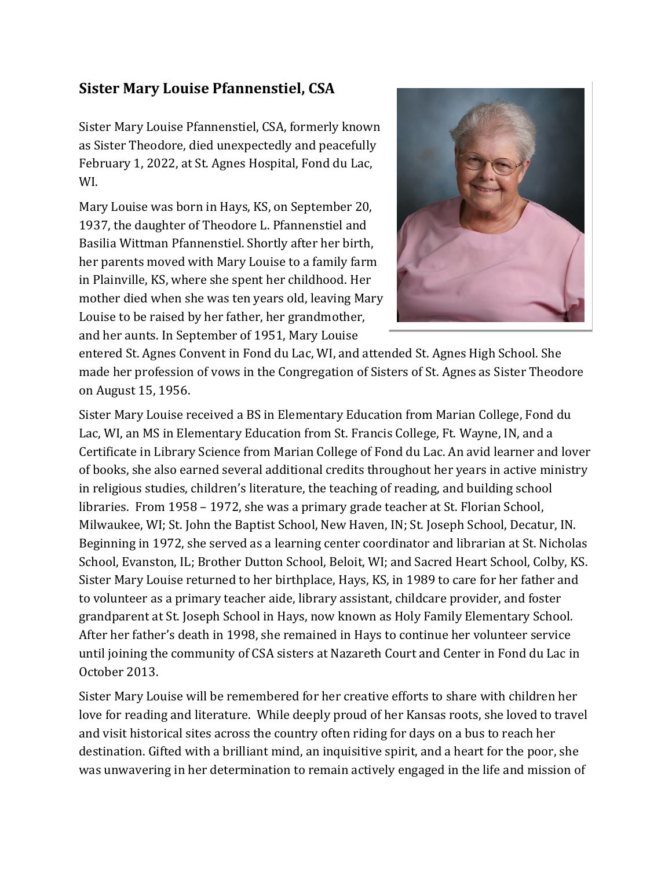## **Sister Mary Louise Pfannenstiel, CSA**

Sister Mary Louise Pfannenstiel, CSA, formerly known as Sister Theodore, died unexpectedly and peacefully February 1, 2022, at St. Agnes Hospital, Fond du Lac, WI.

Mary Louise was born in Hays, KS, on September 20, 1937, the daughter of Theodore L. Pfannenstiel and Basilia Wittman Pfannenstiel. Shortly after her birth, her parents moved with Mary Louise to a family farm in Plainville, KS, where she spent her childhood. Her mother died when she was ten years old, leaving Mary Louise to be raised by her father, her grandmother, and her aunts. In September of 1951, Mary Louise



entered St. Agnes Convent in Fond du Lac, WI, and attended St. Agnes High School. She made her profession of vows in the Congregation of Sisters of St. Agnes as Sister Theodore on August 15, 1956.

Sister Mary Louise received a BS in Elementary Education from Marian College, Fond du Lac, WI, an MS in Elementary Education from St. Francis College, Ft. Wayne, IN, and a Certificate in Library Science from Marian College of Fond du Lac. An avid learner and lover of books, she also earned several additional credits throughout her years in active ministry in religious studies, children's literature, the teaching of reading, and building school libraries. From 1958 – 1972, she was a primary grade teacher at St. Florian School, Milwaukee, WI; St. John the Baptist School, New Haven, IN; St. Joseph School, Decatur, IN. Beginning in 1972, she served as a learning center coordinator and librarian at St. Nicholas School, Evanston, IL; Brother Dutton School, Beloit, WI; and Sacred Heart School, Colby, KS. Sister Mary Louise returned to her birthplace, Hays, KS, in 1989 to care for her father and to volunteer as a primary teacher aide, library assistant, childcare provider, and foster grandparent at St. Joseph School in Hays, now known as Holy Family Elementary School. After her father's death in 1998, she remained in Hays to continue her volunteer service until joining the community of CSA sisters at Nazareth Court and Center in Fond du Lac in October 2013.

Sister Mary Louise will be remembered for her creative efforts to share with children her love for reading and literature. While deeply proud of her Kansas roots, she loved to travel and visit historical sites across the country often riding for days on a bus to reach her destination. Gifted with a brilliant mind, an inquisitive spirit, and a heart for the poor, she was unwavering in her determination to remain actively engaged in the life and mission of